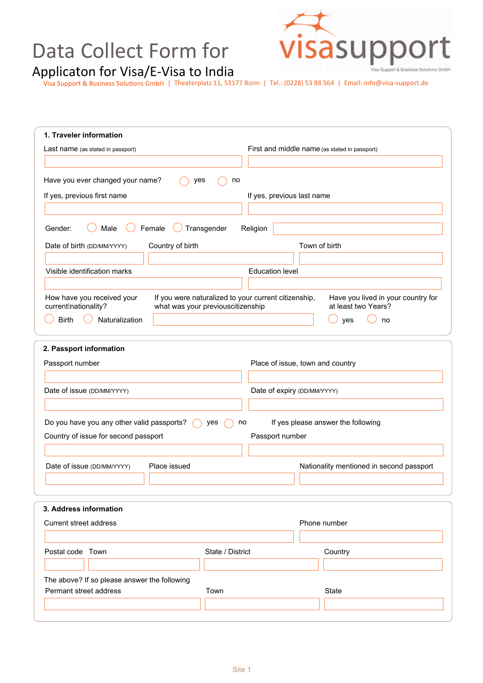## Data Collect Form for



Applicaton for Visa/E-Visa to India

| Theaterplatz 11, 53177 Bonn | Tel.: (0228) 53 88 564 | Email: info@visa-support.de

| 1. Traveler information                                                                                                                          |                                                           |  |
|--------------------------------------------------------------------------------------------------------------------------------------------------|-----------------------------------------------------------|--|
| Last name (as stated in passport)                                                                                                                | First and middle name (as stated in passport)             |  |
|                                                                                                                                                  |                                                           |  |
| Have you ever changed your name?<br>yes<br>no                                                                                                    |                                                           |  |
| If yes, previous first name                                                                                                                      | If yes, previous last name                                |  |
|                                                                                                                                                  |                                                           |  |
| Male<br>Female<br>Transgender<br>Gender:                                                                                                         | Religion                                                  |  |
| Date of birth (DD/MM/YYYY)<br>Country of birth                                                                                                   | Town of birth                                             |  |
|                                                                                                                                                  |                                                           |  |
| Visible identification marks                                                                                                                     | <b>Education level</b>                                    |  |
|                                                                                                                                                  |                                                           |  |
| If you were naturalized to your current citizenship,<br>How have you received your<br>current Anationality?<br>what was your previouscitizenship | Have you lived in your country for<br>at least two Years? |  |
| <b>Birth</b><br>Naturalization                                                                                                                   | yes<br>no                                                 |  |
|                                                                                                                                                  |                                                           |  |
| 2. Passport information                                                                                                                          |                                                           |  |
| Passport number                                                                                                                                  | Place of issue, town and country                          |  |
|                                                                                                                                                  |                                                           |  |
| Date of issue (DD/MM/YYYY)                                                                                                                       | Date of expiry (DD/MM/YYYY)                               |  |
|                                                                                                                                                  |                                                           |  |
| Do you have you any other valid passports?<br>yes                                                                                                | If yes please answer the following<br>no                  |  |
| Country of issue for second passport                                                                                                             | Passport number                                           |  |
|                                                                                                                                                  |                                                           |  |
| Place issued<br>Date of issue (DD/MM/YYYY)                                                                                                       | Nationality mentioned in second passport                  |  |
|                                                                                                                                                  |                                                           |  |
|                                                                                                                                                  |                                                           |  |
| 3. Address information                                                                                                                           |                                                           |  |
| Current street address                                                                                                                           | Phone number                                              |  |
|                                                                                                                                                  |                                                           |  |
| Postal code Town<br>State / District                                                                                                             | Country                                                   |  |
|                                                                                                                                                  |                                                           |  |
| The above? If so please answer the following                                                                                                     |                                                           |  |
| Permant street address<br>Town                                                                                                                   | <b>State</b>                                              |  |
|                                                                                                                                                  |                                                           |  |
|                                                                                                                                                  |                                                           |  |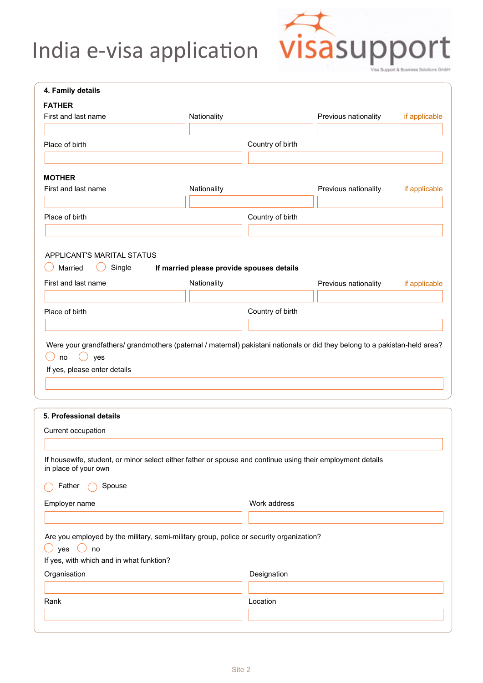## Data Collect Form for Applicaton for Visa/E-Visa to India



| 4. Family details                                                                      |                                                                                                                            |                      |               |
|----------------------------------------------------------------------------------------|----------------------------------------------------------------------------------------------------------------------------|----------------------|---------------|
| <b>FATHER</b>                                                                          |                                                                                                                            |                      |               |
| First and last name                                                                    | Nationality                                                                                                                | Previous nationality | if applicable |
| Place of birth                                                                         | Country of birth                                                                                                           |                      |               |
|                                                                                        |                                                                                                                            |                      |               |
| <b>MOTHER</b>                                                                          |                                                                                                                            |                      |               |
| First and last name                                                                    | Nationality                                                                                                                | Previous nationality | if applicable |
|                                                                                        |                                                                                                                            |                      |               |
| Place of birth                                                                         | Country of birth                                                                                                           |                      |               |
|                                                                                        |                                                                                                                            |                      |               |
| APPLICANT'S MARITAL STATUS                                                             |                                                                                                                            |                      |               |
| Married<br>Single                                                                      | If married please provide spouses details                                                                                  |                      |               |
| First and last name                                                                    | Nationality                                                                                                                | Previous nationality | if applicable |
|                                                                                        |                                                                                                                            |                      |               |
|                                                                                        |                                                                                                                            |                      |               |
| Place of birth                                                                         | Country of birth                                                                                                           |                      |               |
|                                                                                        |                                                                                                                            |                      |               |
|                                                                                        | Were your grandfathers/ grandmothers (paternal / maternal) pakistani nationals or did they belong to a pakistan-held area? |                      |               |
| no<br>$($ )<br>yes                                                                     |                                                                                                                            |                      |               |
| If yes, please enter details                                                           |                                                                                                                            |                      |               |
|                                                                                        |                                                                                                                            |                      |               |
|                                                                                        |                                                                                                                            |                      |               |
|                                                                                        |                                                                                                                            |                      |               |
|                                                                                        |                                                                                                                            |                      |               |
|                                                                                        |                                                                                                                            |                      |               |
|                                                                                        | If housewife, student, or minor select either father or spouse and continue using their employment details                 |                      |               |
| Spouse<br>Father                                                                       |                                                                                                                            |                      |               |
|                                                                                        | Work address                                                                                                               |                      |               |
| 5. Professional details<br>Current occupation<br>in place of your own<br>Employer name |                                                                                                                            |                      |               |
|                                                                                        |                                                                                                                            |                      |               |
| yes<br>(                                                                               | Are you employed by the military, semi-military group, police or security organization?                                    |                      |               |
| no<br>If yes, with which and in what funktion?                                         |                                                                                                                            |                      |               |
| Organisation                                                                           | Designation                                                                                                                |                      |               |
|                                                                                        |                                                                                                                            |                      |               |
| Rank                                                                                   | Location                                                                                                                   |                      |               |